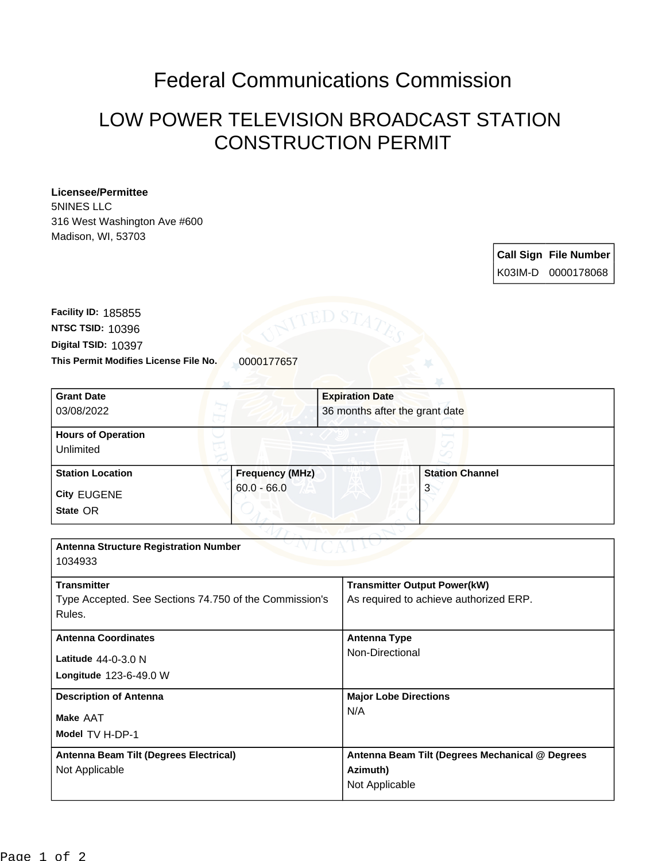## Federal Communications Commission

## LOW POWER TELEVISION BROADCAST STATION CONSTRUCTION PERMIT

## **Licensee/Permittee**

5NINES LLC 316 West Washington Ave #600 Madison, WI, 53703

> **Call Sign File Number** K03IM-D 0000178068

**This Permit Modifies License File No.** 0000177657 **Digital TSID:** 10397 **NTSC TSID:** 10396 **Facility ID:** 185855

| <b>Grant Date</b>                                      |                 | <b>Expiration Date</b> |                                                 |  |
|--------------------------------------------------------|-----------------|------------------------|-------------------------------------------------|--|
| 03/08/2022                                             |                 |                        | 36 months after the grant date                  |  |
| <b>Hours of Operation</b>                              |                 |                        |                                                 |  |
| Unlimited                                              |                 |                        |                                                 |  |
| <b>Station Location</b>                                | Frequency (MHz) |                        | <b>Station Channel</b>                          |  |
|                                                        | $60.0 - 66.0$   |                        | 3                                               |  |
| <b>City EUGENE</b>                                     |                 |                        |                                                 |  |
| State OR                                               |                 |                        |                                                 |  |
|                                                        |                 |                        |                                                 |  |
| <b>Antenna Structure Registration Number</b>           |                 |                        |                                                 |  |
| 1034933                                                |                 |                        |                                                 |  |
| <b>Transmitter</b>                                     |                 |                        | <b>Transmitter Output Power(kW)</b>             |  |
| Type Accepted. See Sections 74.750 of the Commission's |                 |                        | As required to achieve authorized ERP.          |  |
| Rules.                                                 |                 |                        |                                                 |  |
|                                                        |                 |                        |                                                 |  |
| <b>Antenna Coordinates</b>                             |                 | <b>Antenna Type</b>    |                                                 |  |
| Latitude 44-0-3.0 N                                    |                 |                        | Non-Directional                                 |  |
| Longitude 123-6-49.0 W                                 |                 |                        |                                                 |  |
|                                                        |                 |                        |                                                 |  |
| <b>Description of Antenna</b>                          |                 |                        | <b>Major Lobe Directions</b>                    |  |
| Make AAT                                               |                 | N/A                    |                                                 |  |
| Model TV H-DP-1                                        |                 |                        |                                                 |  |
| Antenna Beam Tilt (Degrees Electrical)                 |                 |                        | Antenna Beam Tilt (Degrees Mechanical @ Degrees |  |
| Not Applicable                                         |                 | Azimuth)               |                                                 |  |
|                                                        |                 |                        | Not Applicable                                  |  |
|                                                        |                 |                        |                                                 |  |